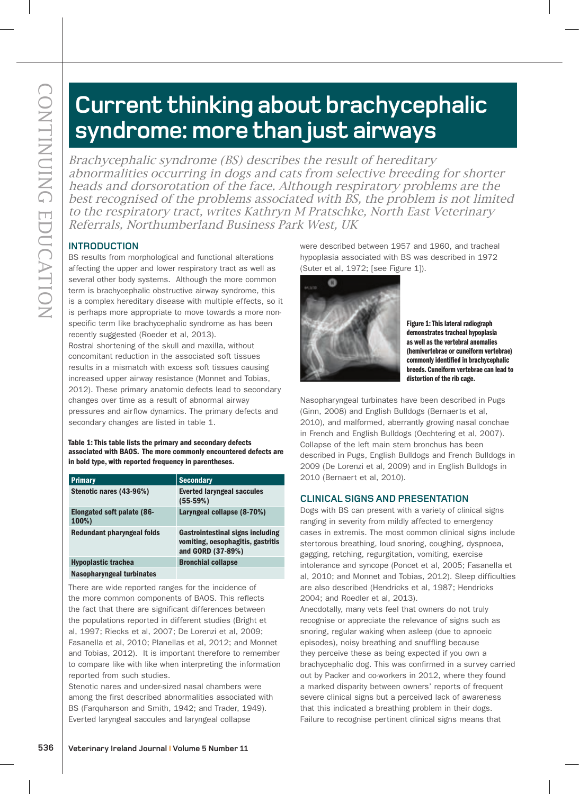# **Current thinking about brachycephalic syndrome: more than just airways**

**EXAMPLE THE CONTINUITY CONTINUITY CONTINUITY CONTINUITY CONTINUITY CONTINUITY CONTINUITY CONTINUITY CONTINUITY CONTINUITY CONTINUITY CONTINUITY CONTINUITY CONTINUITY CONTINUITY CONTINUITY CONTINUITY CONTINUITY CONTINUITY** Brachycephalic syndrome (BS) describes the result of hereditary abnormalities occurring in dogs and cats from selective breeding for shorter heads and dorsorotation of the face. Although respiratory problems are the best recognised of the problems associated with BS, the problem is not limited to the respiratory tract, writes Kathryn M Pratschke, North East Veterinary Referrals, Northumberland Business Park West, UK

# **INTRODUCTION**

BS results from morphological and functional alterations affecting the upper and lower respiratory tract as well as several other body systems. Although the more common term is brachycephalic obstructive airway syndrome, this is a complex hereditary disease with multiple effects, so it is perhaps more appropriate to move towards a more nonspecific term like brachycephalic syndrome as has been recently suggested (Roeder et al, 2013).

Rostral shortening of the skull and maxilla, without concomitant reduction in the associated soft tissues results in a mismatch with excess soft tissues causing increased upper airway resistance (Monnet and Tobias, 2012). These primary anatomic defects lead to secondary changes over time as a result of abnormal airway pressures and airflow dynamics. The primary defects and secondary changes are listed in table 1.

Table 1: This table lists the primary and secondary defects associated with BAOS. The more commonly encountered defects are in bold type, with reported frequency in parentheses.

| <b>Primary</b>                             | <b>Secondary</b>                                                                                  |
|--------------------------------------------|---------------------------------------------------------------------------------------------------|
| Stenotic nares (43-96%)                    | <b>Everted laryngeal saccules</b><br>$(55-59%)$                                                   |
| <b>Elongated soft palate (86-</b><br>100%) | Laryngeal collapse (8-70%)                                                                        |
| Redundant pharyngeal folds                 | <b>Gastrointestinal signs including</b><br>vomiting, oesophagitis, gastritis<br>and GORD (37-89%) |
| <b>Hypoplastic trachea</b>                 | <b>Bronchial collapse</b>                                                                         |
| Nasopharyngeal turbinates                  |                                                                                                   |

There are wide reported ranges for the incidence of the more common components of BAOS. This reflects the fact that there are significant differences between the populations reported in different studies (Bright et al, 1997; Riecks et al, 2007; De Lorenzi et al, 2009; Fasanella et al, 2010; Planellas et al, 2012; and Monnet and Tobias, 2012). It is important therefore to remember to compare like with like when interpreting the information reported from such studies.

Stenotic nares and under-sized nasal chambers were among the first described abnormalities associated with BS (Farquharson and Smith, 1942; and Trader, 1949). Everted laryngeal saccules and laryngeal collapse

were described between 1957 and 1960, and tracheal hypoplasia associated with BS was described in 1972 (Suter et al, 1972; [see Figure 1]).



Figure 1: This lateral radiograph demonstrates tracheal hypoplasia as well as the vertebral anomalies (hemivertebrae or cuneiform vertebrae) commonly identified in brachycephalic breeds. Cuneiform vertebrae can lead to distortion of the rib cage.

Nasopharyngeal turbinates have been described in Pugs (Ginn, 2008) and English Bulldogs (Bernaerts et al, 2010), and malformed, aberrantly growing nasal conchae in French and English Bulldogs (Oechtering et al, 2007). Collapse of the left main stem bronchus has been described in Pugs, English Bulldogs and French Bulldogs in 2009 (De Lorenzi et al, 2009) and in English Bulldogs in 2010 (Bernaert et al, 2010).

# **CLINICAL SIGNS AND PRESENTATION**

Dogs with BS can present with a variety of clinical signs ranging in severity from mildly affected to emergency cases in extremis. The most common clinical signs include stertorous breathing, loud snoring, coughing, dyspnoea, gagging, retching, regurgitation, vomiting, exercise intolerance and syncope (Poncet et al, 2005; Fasanella et al, 2010; and Monnet and Tobias, 2012). Sleep difficulties are also described (Hendricks et al, 1987; Hendricks 2004; and Roedler et al, 2013).

Anecdotally, many vets feel that owners do not truly recognise or appreciate the relevance of signs such as snoring, regular waking when asleep (due to apnoeic episodes), noisy breathing and snuffling because they perceive these as being expected if you own a brachycephalic dog. This was confirmed in a survey carried out by Packer and co-workers in 2012, where they found a marked disparity between owners' reports of frequent severe clinical signs but a perceived lack of awareness that this indicated a breathing problem in their dogs. Failure to recognise pertinent clinical signs means that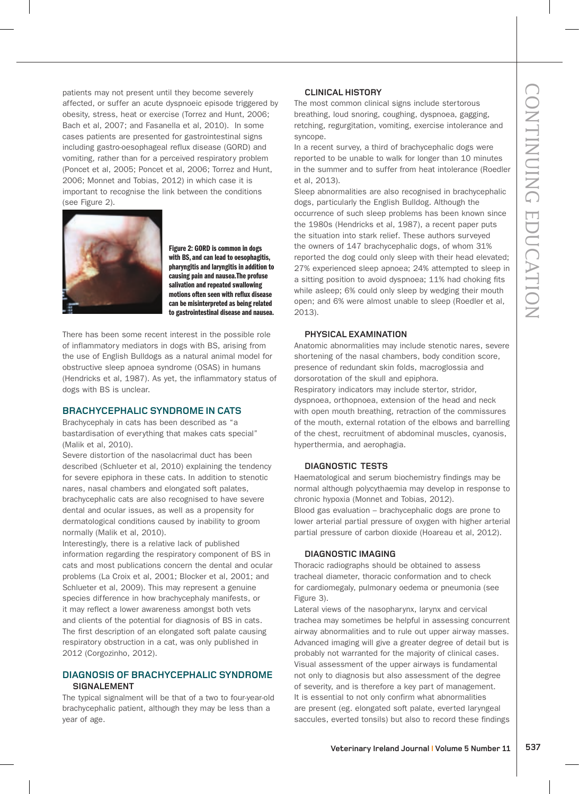patients may not present until they become severely affected, or suffer an acute dyspnoeic episode triggered by obesity, stress, heat or exercise (Torrez and Hunt, 2006; Bach et al, 2007; and Fasanella et al, 2010). In some cases patients are presented for gastrointestinal signs including gastro-oesophageal reflux disease (GORD) and vomiting, rather than for a perceived respiratory problem (Poncet et al, 2005; Poncet et al, 2006; Torrez and Hunt, 2006; Monnet and Tobias, 2012) in which case it is important to recognise the link between the conditions (see Figure 2).



Figure 2: GORD is common in dogs with BS, and can lead to oesophagitis, pharyngitis and laryngitis in addition to causing pain and nausea.The profuse salivation and repeated swallowing motions often seen with reflux disease can be misinterpreted as being related to gastrointestinal disease and nausea.

There has been some recent interest in the possible role of inflammatory mediators in dogs with BS, arising from the use of English Bulldogs as a natural animal model for obstructive sleep apnoea syndrome (OSAS) in humans (Hendricks et al, 1987). As yet, the inflammatory status of dogs with BS is unclear.

#### **BRACHYCEPHALIC SYNDROME IN CATS**

Brachycephaly in cats has been described as "a bastardisation of everything that makes cats special" (Malik et al, 2010).

Severe distortion of the nasolacrimal duct has been described (Schlueter et al, 2010) explaining the tendency for severe epiphora in these cats. In addition to stenotic nares, nasal chambers and elongated soft palates, brachycephalic cats are also recognised to have severe dental and ocular issues, as well as a propensity for dermatological conditions caused by inability to groom normally (Malik et al, 2010).

Interestingly, there is a relative lack of published information regarding the respiratory component of BS in cats and most publications concern the dental and ocular problems (La Croix et al, 2001; Blocker et al, 2001; and Schlueter et al, 2009). This may represent a genuine species difference in how brachycephaly manifests, or it may reflect a lower awareness amongst both vets and clients of the potential for diagnosis of BS in cats. The first description of an elongated soft palate causing respiratory obstruction in a cat, was only published in 2012 (Corgozinho, 2012).

# **DIAGNOSIS OF BRACHYCEPHALIC SYNDROME SIGNALEMENT**

The typical signalment will be that of a two to four-year-old brachycephalic patient, although they may be less than a year of age.

# **CLINICAL HISTORY**

The most common clinical signs include stertorous breathing, loud snoring, coughing, dyspnoea, gagging, retching, regurgitation, vomiting, exercise intolerance and syncope.

In a recent survey, a third of brachycephalic dogs were reported to be unable to walk for longer than 10 minutes in the summer and to suffer from heat intolerance (Roedler et al, 2013).

Sleep abnormalities are also recognised in brachycephalic dogs, particularly the English Bulldog. Although the occurrence of such sleep problems has been known since the 1980s (Hendricks et al, 1987), a recent paper puts the situation into stark relief. These authors surveyed the owners of 147 brachycephalic dogs, of whom 31% reported the dog could only sleep with their head elevated; 27% experienced sleep apnoea; 24% attempted to sleep in a sitting position to avoid dyspnoea; 11% had choking fits while asleep; 6% could only sleep by wedging their mouth open; and 6% were almost unable to sleep (Roedler et al, 2013).

# **PHYSICAL EXAMINATION**

Anatomic abnormalities may include stenotic nares, severe shortening of the nasal chambers, body condition score, presence of redundant skin folds, macroglossia and dorsorotation of the skull and epiphora. Respiratory indicators may include stertor, stridor, dyspnoea, orthopnoea, extension of the head and neck with open mouth breathing, retraction of the commissures of the mouth, external rotation of the elbows and barrelling of the chest, recruitment of abdominal muscles, cyanosis, hyperthermia, and aerophagia.

# **DIAGNOSTIC TESTS**

Haematological and serum biochemistry findings may be normal although polycythaemia may develop in response to chronic hypoxia (Monnet and Tobias, 2012).

Blood gas evaluation – brachycephalic dogs are prone to lower arterial partial pressure of oxygen with higher arterial partial pressure of carbon dioxide (Hoareau et al, 2012).

#### **DIAGNOSTIC IMAGING**

Thoracic radiographs should be obtained to assess tracheal diameter, thoracic conformation and to check for cardiomegaly, pulmonary oedema or pneumonia (see Figure 3).

Lateral views of the nasopharynx, larynx and cervical trachea may sometimes be helpful in assessing concurrent airway abnormalities and to rule out upper airway masses. Advanced imaging will give a greater degree of detail but is probably not warranted for the majority of clinical cases. Visual assessment of the upper airways is fundamental not only to diagnosis but also assessment of the degree of severity, and is therefore a key part of management. It is essential to not only confirm what abnormalities are present (eg. elongated soft palate, everted laryngeal saccules, everted tonsils) but also to record these findings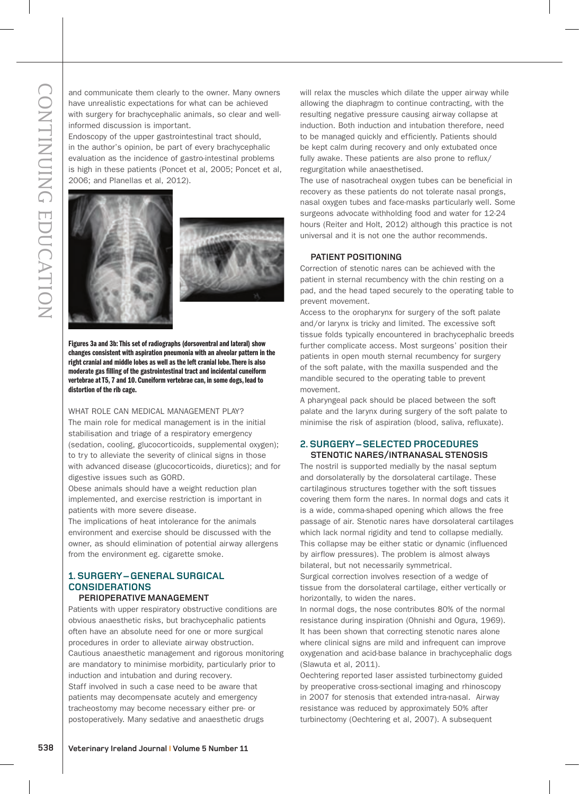and communicate them clearly to the owner. Many owners have unrealistic expectations for what can be achieved with surgery for brachycephalic animals, so clear and wellinformed discussion is important.

Endoscopy of the upper gastrointestinal tract should, in the author's opinion, be part of every brachycephalic evaluation as the incidence of gastro-intestinal problems is high in these patients (Poncet et al, 2005; Poncet et al, 2006; and Planellas et al, 2012).





Figures 3a and 3b: This set of radiographs (dorsoventral and lateral) show changes consistent with aspiration pneumonia with an alveolar pattern in the right cranial and middle lobes as well as the left cranial lobe. There is also moderate gas filling of the gastrointestinal tract and incidental cuneiform vertebrae at T5, 7 and 10. Cuneiform vertebrae can, in some dogs, lead to distortion of the rib cage.

WHAT ROLE CAN MEDICAL MANAGEMENT PLAY?

The main role for medical management is in the initial stabilisation and triage of a respiratory emergency (sedation, cooling, glucocorticoids, supplemental oxygen); to try to alleviate the severity of clinical signs in those with advanced disease (glucocorticoids, diuretics); and for digestive issues such as GORD.

Obese animals should have a weight reduction plan implemented, and exercise restriction is important in patients with more severe disease.

The implications of heat intolerance for the animals environment and exercise should be discussed with the owner, as should elimination of potential airway allergens from the environment eg. cigarette smoke.

#### **1. SURGERY – GENERAL SURGICAL CONSIDERATIONS PERIOPERATIVE MANAGEMENT**

**538 Using the most line of the state interesting in the state of the state is a state of the state of the state of the state of the state of the state of the state of the state of the state of the state of the state of** Patients with upper respiratory obstructive conditions are obvious anaesthetic risks, but brachycephalic patients often have an absolute need for one or more surgical procedures in order to alleviate airway obstruction. Cautious anaesthetic management and rigorous monitoring are mandatory to minimise morbidity, particularly prior to induction and intubation and during recovery. Staff involved in such a case need to be aware that patients may decompensate acutely and emergency tracheostomy may become necessary either pre- or postoperatively. Many sedative and anaesthetic drugs

will relax the muscles which dilate the upper airway while allowing the diaphragm to continue contracting, with the resulting negative pressure causing airway collapse at induction. Both induction and intubation therefore, need to be managed quickly and efficiently. Patients should be kept calm during recovery and only extubated once fully awake. These patients are also prone to reflux/ regurgitation while anaesthetised.

The use of nasotracheal oxygen tubes can be beneficial in recovery as these patients do not tolerate nasal prongs, nasal oxygen tubes and face-masks particularly well. Some surgeons advocate withholding food and water for 12-24 hours (Reiter and Holt, 2012) although this practice is not universal and it is not one the author recommends.

#### **PATIENT POSITIONING**

Correction of stenotic nares can be achieved with the patient in sternal recumbency with the chin resting on a pad, and the head taped securely to the operating table to prevent movement.

Access to the oropharynx for surgery of the soft palate and/or larynx is tricky and limited. The excessive soft tissue folds typically encountered in brachycephalic breeds further complicate access. Most surgeons' position their patients in open mouth sternal recumbency for surgery of the soft palate, with the maxilla suspended and the mandible secured to the operating table to prevent movement.

A pharyngeal pack should be placed between the soft palate and the larynx during surgery of the soft palate to minimise the risk of aspiration (blood, saliva, refluxate).

#### **2. SURGERY – SELECTED PROCEDURES STENOTIC NARES/INTRANASAL STENOSIS**

The nostril is supported medially by the nasal septum and dorsolaterally by the dorsolateral cartilage. These cartilaginous structures together with the soft tissues covering them form the nares. In normal dogs and cats it is a wide, comma-shaped opening which allows the free passage of air. Stenotic nares have dorsolateral cartilages which lack normal rigidity and tend to collapse medially. This collapse may be either static or dynamic (influenced by airflow pressures). The problem is almost always bilateral, but not necessarily symmetrical.

Surgical correction involves resection of a wedge of tissue from the dorsolateral cartilage, either vertically or horizontally, to widen the nares.

In normal dogs, the nose contributes 80% of the normal resistance during inspiration (Ohnishi and Ogura, 1969). It has been shown that correcting stenotic nares alone where clinical signs are mild and infrequent can improve oxygenation and acid-base balance in brachycephalic dogs (Slawuta et al, 2011).

Oechtering reported laser assisted turbinectomy guided by preoperative cross-sectional imaging and rhinoscopy in 2007 for stenosis that extended intra-nasal. Airway resistance was reduced by approximately 50% after turbinectomy (Oechtering et al, 2007). A subsequent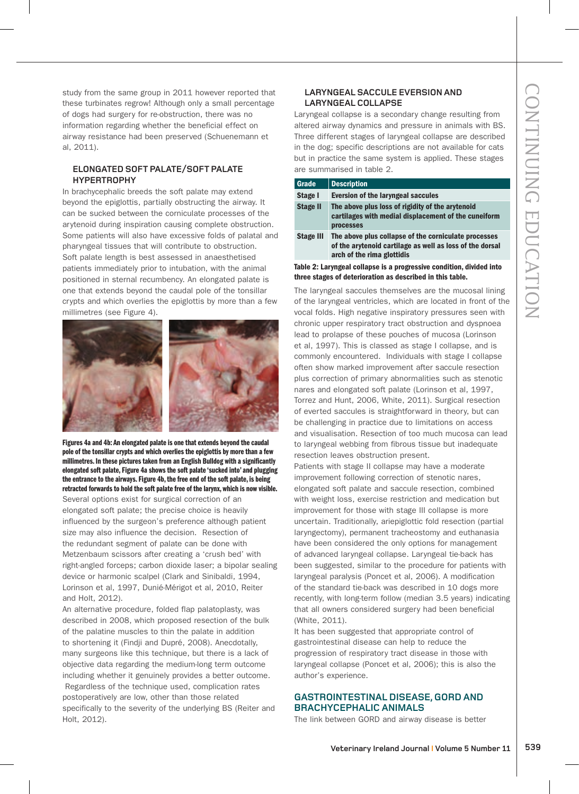study from the same group in 2011 however reported that these turbinates regrow! Although only a small percentage of dogs had surgery for re-obstruction, there was no information regarding whether the beneficial effect on airway resistance had been preserved (Schuenemann et al, 2011).

#### **ELONGATED SOFT PALATE/SOFT PALATE HYPERTROPHY**

In brachycephalic breeds the soft palate may extend beyond the epiglottis, partially obstructing the airway. It can be sucked between the corniculate processes of the arytenoid during inspiration causing complete obstruction. Some patients will also have excessive folds of palatal and pharyngeal tissues that will contribute to obstruction. Soft palate length is best assessed in anaesthetised patients immediately prior to intubation, with the animal positioned in sternal recumbency. An elongated palate is one that extends beyond the caudal pole of the tonsillar crypts and which overlies the epiglottis by more than a few millimetres (see Figure 4).



Figures 4a and 4b: An elongated palate is one that extends beyond the caudal pole of the tonsillar crypts and which overlies the epiglottis by more than a few millimetres. In these pictures taken from an English Bulldog with a significantly elongated soft palate, Figure 4a shows the soft palate 'sucked into' and plugging the entrance to the airways. Figure 4b, the free end of the soft palate, is being retracted forwards to hold the soft palate free of the larynx, which is now visible.

Several options exist for surgical correction of an elongated soft palate; the precise choice is heavily influenced by the surgeon's preference although patient size may also influence the decision. Resection of the redundant segment of palate can be done with Metzenbaum scissors after creating a 'crush bed' with right-angled forceps; carbon dioxide laser; a bipolar sealing device or harmonic scalpel (Clark and Sinibaldi, 1994, Lorinson et al, 1997, Dunié-Mérigot et al, 2010, Reiter and Holt, 2012).

An alternative procedure, folded flap palatoplasty, was described in 2008, which proposed resection of the bulk of the palatine muscles to thin the palate in addition to shortening it (Findji and Dupré, 2008). Anecdotally, many surgeons like this technique, but there is a lack of objective data regarding the medium-long term outcome including whether it genuinely provides a better outcome. Regardless of the technique used, complication rates postoperatively are low, other than those related specifically to the severity of the underlying BS (Reiter and Holt, 2012).

# **LARYNGEAL SACCULE EVERSION AND LARYNGEAL COLLAPSE**

Laryngeal collapse is a secondary change resulting from altered airway dynamics and pressure in animals with BS. Three different stages of laryngeal collapse are described in the dog; specific descriptions are not available for cats but in practice the same system is applied. These stages are summarised in table 2.

| <b>Grade</b>                                                         | <b>Description</b>                                                                                                                             |
|----------------------------------------------------------------------|------------------------------------------------------------------------------------------------------------------------------------------------|
| Stage I                                                              | <b>Eversion of the laryngeal saccules</b>                                                                                                      |
| <b>Stage II</b>                                                      | The above plus loss of rigidity of the arytenoid<br>cartilages with medial displacement of the cuneiform<br><b>processes</b>                   |
| <b>Stage III</b>                                                     | The above plus collapse of the corniculate processes<br>of the arytenoid cartilage as well as loss of the dorsal<br>arch of the rima glottidis |
| Table 2: Laryngeal collapse is a progressive condition, divided into |                                                                                                                                                |

three stages of deterioration as described in this table.

The laryngeal saccules themselves are the mucosal lining of the laryngeal ventricles, which are located in front of the vocal folds. High negative inspiratory pressures seen with chronic upper respiratory tract obstruction and dyspnoea lead to prolapse of these pouches of mucosa (Lorinson et al, 1997). This is classed as stage I collapse, and is commonly encountered. Individuals with stage I collapse often show marked improvement after saccule resection plus correction of primary abnormalities such as stenotic nares and elongated soft palate (Lorinson et al, 1997, Torrez and Hunt, 2006, White, 2011). Surgical resection of everted saccules is straightforward in theory, but can be challenging in practice due to limitations on access and visualisation. Resection of too much mucosa can lead to laryngeal webbing from fibrous tissue but inadequate resection leaves obstruction present.

Patients with stage II collapse may have a moderate improvement following correction of stenotic nares, elongated soft palate and saccule resection, combined with weight loss, exercise restriction and medication but improvement for those with stage III collapse is more uncertain. Traditionally, ariepiglottic fold resection (partial laryngectomy), permanent tracheostomy and euthanasia have been considered the only options for management of advanced laryngeal collapse. Laryngeal tie-back has been suggested, similar to the procedure for patients with laryngeal paralysis (Poncet et al, 2006). A modification of the standard tie-back was described in 10 dogs more recently, with long-term follow (median 3.5 years) indicating that all owners considered surgery had been beneficial (White, 2011).

It has been suggested that appropriate control of gastrointestinal disease can help to reduce the progression of respiratory tract disease in those with laryngeal collapse (Poncet et al, 2006); this is also the author's experience.

# **GASTROINTESTINAL DISEASE, GORD AND BRACHYCEPHALIC ANIMALS**

The link between GORD and airway disease is better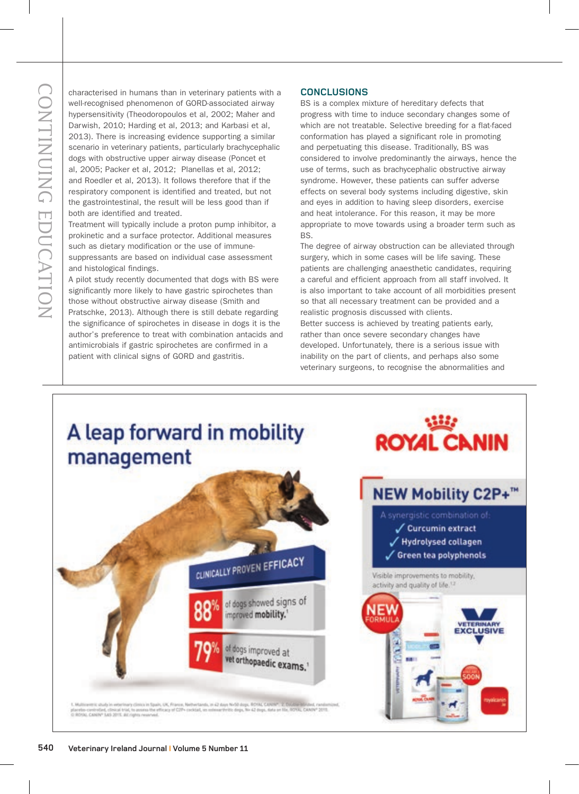characterised in humans than in veterinary patients with a well-recognised phenomenon of GORD-associated airway hypersensitivity (Theodoropoulos et al, 2002; Maher and Darwish, 2010; Harding et al, 2013; and Karbasi et al, 2013). There is increasing evidence supporting a similar scenario in veterinary patients, particularly brachycephalic dogs with obstructive upper airway disease (Poncet et al, 2005; Packer et al, 2012; Planellas et al, 2012; and Roedler et al, 2013). It follows therefore that if the respiratory component is identified and treated, but not the gastrointestinal, the result will be less good than if both are identified and treated.

Treatment will typically include a proton pump inhibitor, a prokinetic and a surface protector. Additional measures such as dietary modification or the use of immunesuppressants are based on individual case assessment and histological findings.

A pilot study recently documented that dogs with BS were significantly more likely to have gastric spirochetes than those without obstructive airway disease (Smith and Pratschke, 2013). Although there is still debate regarding the significance of spirochetes in disease in dogs it is the author's preference to treat with combination antacids and antimicrobials if gastric spirochetes are confirmed in a patient with clinical signs of GORD and gastritis.

## **CONCLUSIONS**

BS is a complex mixture of hereditary defects that progress with time to induce secondary changes some of which are not treatable. Selective breeding for a flat-faced conformation has played a significant role in promoting and perpetuating this disease. Traditionally, BS was considered to involve predominantly the airways, hence the use of terms, such as brachycephalic obstructive airway syndrome. However, these patients can suffer adverse effects on several body systems including digestive, skin and eyes in addition to having sleep disorders, exercise and heat intolerance. For this reason, it may be more appropriate to move towards using a broader term such as BS.

The degree of airway obstruction can be alleviated through surgery, which in some cases will be life saving. These patients are challenging anaesthetic candidates, requiring a careful and efficient approach from all staff involved. It is also important to take account of all morbidities present so that all necessary treatment can be provided and a realistic prognosis discussed with clients. Better success is achieved by treating patients early, rather than once severe secondary changes have developed. Unfortunately, there is a serious issue with inability on the part of clients, and perhaps also some veterinary surgeons, to recognise the abnormalities and

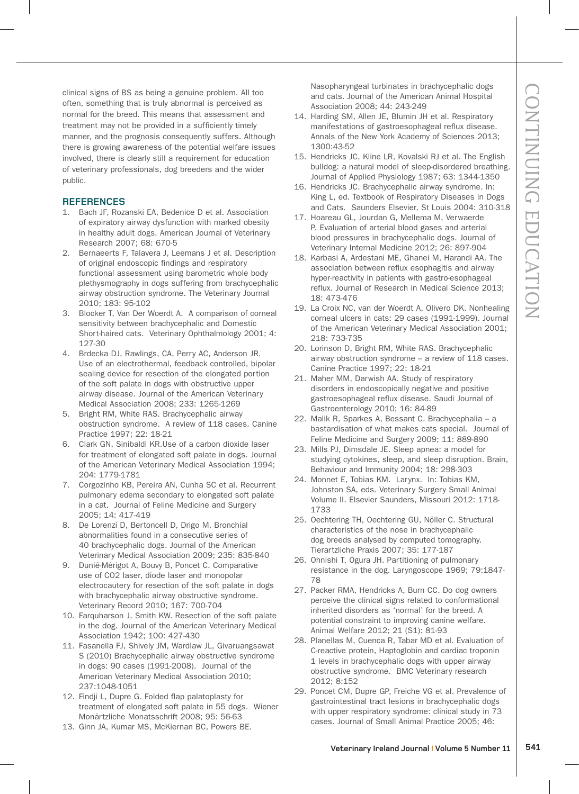clinical signs of BS as being a genuine problem. All too often, something that is truly abnormal is perceived as normal for the breed. This means that assessment and treatment may not be provided in a sufficiently timely manner, and the prognosis consequently suffers. Although there is growing awareness of the potential welfare issues involved, there is clearly still a requirement for education of veterinary professionals, dog breeders and the wider public.

# **REFERENCES**

- 1. Bach JF, Rozanski EA, Bedenice D et al. Association of expiratory airway dysfunction with marked obesity in healthy adult dogs. American Journal of Veterinary Research 2007; 68: 670-5
- 2. Bernaeerts F, Talavera J, Leemans J et al. Description of original endoscopic findings and respiratory functional assessment using barometric whole body plethysmography in dogs suffering from brachycephalic airway obstruction syndrome. The Veterinary Journal 2010; 183: 95-102
- 3. Blocker T, Van Der Woerdt A. A comparison of corneal sensitivity between brachycephalic and Domestic Short-haired cats. Veterinary Ophthalmology 2001; 4: 127-30
- 4. Brdecka DJ, Rawlings, CA, Perry AC, Anderson JR. Use of an electrothermal, feedback controlled, bipolar sealing device for resection of the elongated portion of the soft palate in dogs with obstructive upper airway disease. Journal of the American Veterinary Medical Association 2008; 233: 1265-1269
- 5. Bright RM, White RAS. Brachycephalic airway obstruction syndrome. A review of 118 cases. Canine Practice 1997; 22: 18-21
- 6. Clark GN, Sinibaldi KR.Use of a carbon dioxide laser for treatment of elongated soft palate in dogs. Journal of the American Veterinary Medical Association 1994; 204: 1779-1781
- 7. Corgozinho KB, Pereira AN, Cunha SC et al. Recurrent pulmonary edema secondary to elongated soft palate in a cat. Journal of Feline Medicine and Surgery 2005; 14: 417-419
- 8. De Lorenzi D, Bertoncell D, Drigo M. Bronchial abnormalities found in a consecutive series of 40 brachycephalic dogs. Journal of the American Veterinary Medical Association 2009; 235: 835-840
- 9. Dunié-Mérigot A, Bouvy B, Poncet C. Comparative use of CO2 laser, diode laser and monopolar electrocautery for resection of the soft palate in dogs with brachycephalic airway obstructive syndrome. Veterinary Record 2010; 167: 700-704
- 10. Farquharson J, Smith KW. Resection of the soft palate in the dog. Journal of the American Veterinary Medical Association 1942; 100: 427-430
- 11. Fasanella FJ, Shively JM, Wardlaw JL, Givaruangsawat S (2010) Brachycephalic airway obstructive syndrome in dogs: 90 cases (1991-2008). Journal of the American Veterinary Medical Association 2010; 237:1048-1051
- 12. Findji L, Dupre G. Folded flap palatoplasty for treatment of elongated soft palate in 55 dogs. Wiener Monärtzliche Monatsschrift 2008; 95: 56-63
- 13. Ginn JA, Kumar MS, McKiernan BC, Powers BE.

Nasopharyngeal turbinates in brachycephalic dogs and cats. Journal of the American Animal Hospital Association 2008; 44: 243-249

- 14. Harding SM, Allen JE, Blumin JH et al. Respiratory manifestations of gastroesophageal reflux disease. Annals of the New York Academy of Sciences 2013; 1300:43-52
- 15. Hendricks JC, Kline LR, Kovalski RJ et al. The English bulldog: a natural model of sleep-disordered breathing. Journal of Applied Physiology 1987; 63: 1344-1350
- 16. Hendricks JC. Brachycephalic airway syndrome. In: King L, ed. Textbook of Respiratory Diseases in Dogs and Cats. Saunders Elsevier, St Louis 2004: 310-318
- 17. Hoareau GL, Jourdan G, Mellema M, Verwaerde P. Evaluation of arterial blood gases and arterial blood pressures in brachycephalic dogs. Journal of Veterinary Internal Medicine 2012; 26: 897-904
- 18. Karbasi A, Ardestani ME, Ghanei M, Harandi AA. The association between reflux esophagitis and airway hyper-reactivity in patients with gastro-esophageal reflux. Journal of Research in Medical Science 2013; 18: 473-476
- 19. La Croix NC, van der Woerdt A, Olivero DK. Nonhealing corneal ulcers in cats: 29 cases (1991-1999). Journal of the American Veterinary Medical Association 2001; 218: 733-735
- 20. Lorinson D, Bright RM, White RAS. Brachycephalic airway obstruction syndrome – a review of 118 cases. Canine Practice 1997; 22: 18-21
- 21. Maher MM, Darwish AA. Study of respiratory disorders in endoscopically negative and positive gastroesophageal reflux disease. Saudi Journal of Gastroenterology 2010; 16: 84-89
- 22. Malik R, Sparkes A, Bessant C. Brachycephalia a bastardisation of what makes cats special. Journal of Feline Medicine and Surgery 2009; 11: 889-890
- 23. Mills PJ, Dimsdale JE. Sleep apnea: a model for studying cytokines, sleep, and sleep disruption. Brain, Behaviour and Immunity 2004; 18: 298-303
- 24. Monnet E, Tobias KM. Larynx. In: Tobias KM, Johnston SA, eds. Veterinary Surgery Small Animal Volume II. Elsevier Saunders, Missouri 2012: 1718- 1733
- 25. Oechtering TH, Oechtering GU, Nöller C. Structural characteristics of the nose in brachycephalic dog breeds analysed by computed tomography. Tierartzliche Praxis 2007; 35: 177-187
- 26. Ohnishi T, Ogura JH. Partitioning of pulmonary resistance in the dog. Laryngoscope 1969; 79:1847- 78
- 27. Packer RMA, Hendricks A, Burn CC. Do dog owners perceive the clinical signs related to conformational inherited disorders as 'normal' for the breed. A potential constraint to improving canine welfare. Animal Welfare 2012; 21 (S1): 81-93
- 28. Planellas M, Cuenca R, Tabar MD et al. Evaluation of C-reactive protein, Haptoglobin and cardiac troponin 1 levels in brachycephalic dogs with upper airway obstructive syndrome. BMC Veterinary research 2012; 8:152
- 29. Poncet CM, Dupre GP, Freiche VG et al. Prevalence of gastrointestinal tract lesions in brachycephalic dogs with upper respiratory syndrome: clinical study in 73 cases. Journal of Small Animal Practice 2005; 46: